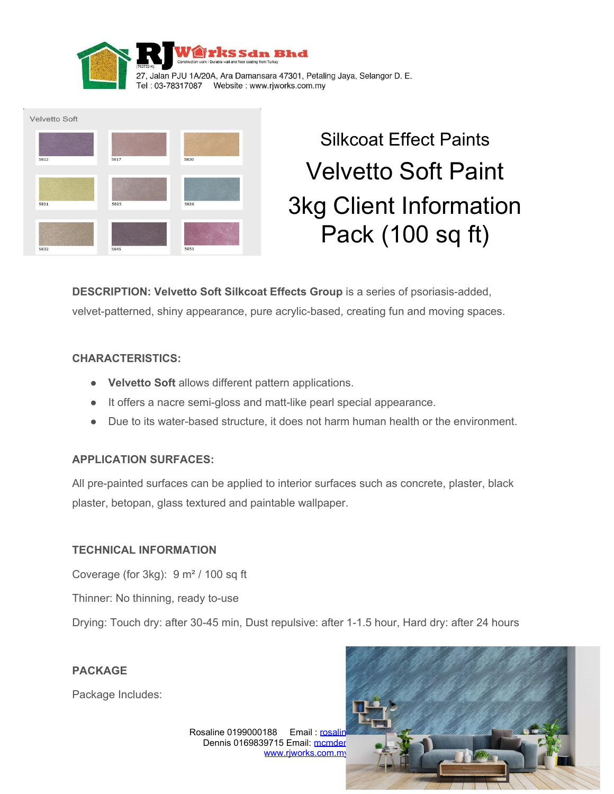



# Silkcoat Effect Paints Velvetto Soft Paint 3kg Client Information Pack (100 sq ft)

**DESCRIPTION: Velvetto Soft Silkcoat Effects Group** is a series of psoriasis-added, velvet-patterned, shiny appearance, pure acrylic-based, creating fun and moving spaces.

# **CHARACTERISTICS:**

- **Velvetto Soft** allows different pattern applications.
- It offers a nacre semi-gloss and matt-like pearl special appearance.
- Due to its water-based structure, it does not harm human health or the environment.

## **APPLICATION SURFACES:**

All pre-painted surfaces can be applied to interior surfaces such as concrete, plaster, black plaster, betopan, glass textured and paintable wallpaper.

## **TECHNICAL INFORMATION**

Coverage (for 3kg): 9 m² / 100 sq ft

Thinner: No thinning, ready to-use

Drying: Touch dry: after 30-45 min, Dust repulsive: after 1-1.5 hour, Hard dry: after 24 hours

## **PACKAGE**

Package Includes:

Rosaline 0199000188 Email: rosaline Dennis 0169839715 Email: mcmder [www.rjworks.com.my](http://www.rjworks.com.my/)

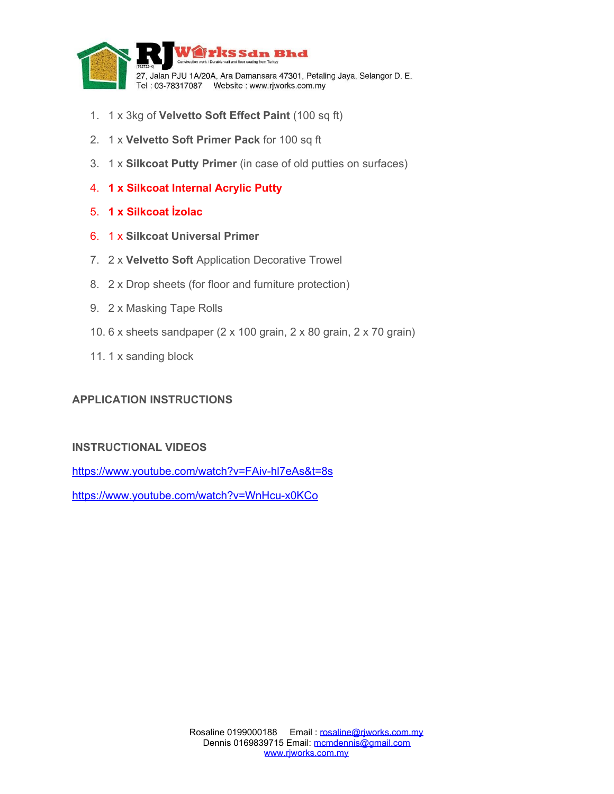

- 1. 1 x 3kg of **Velvetto Soft Effect Paint** (100 sq ft)
- 2. 1 x **Velvetto Soft Primer Pack** for 100 sq ft
- 3. 1 x **Silkcoat Putty Primer** (in case of old putties on surfaces)
- 4. **1 x Silkcoat Internal Acrylic Putty**
- 5. **1 x Silkcoat İzolac**
- 6. 1 x **Silkcoat Universal Primer**
- 7. 2 x **Velvetto Soft** Application Decorative Trowel
- 8. 2 x Drop sheets (for floor and furniture protection)
- 9. 2 x Masking Tape Rolls
- 10. 6 x sheets sandpaper (2 x 100 grain, 2 x 80 grain, 2 x 70 grain)
- 11. 1 x sanding block

## **APPLICATION INSTRUCTIONS**

# **INSTRUCTIONAL VIDEOS**

<https://www.youtube.com/watch?v=FAiv-hl7eAs&t=8s>

<https://www.youtube.com/watch?v=WnHcu-x0KCo>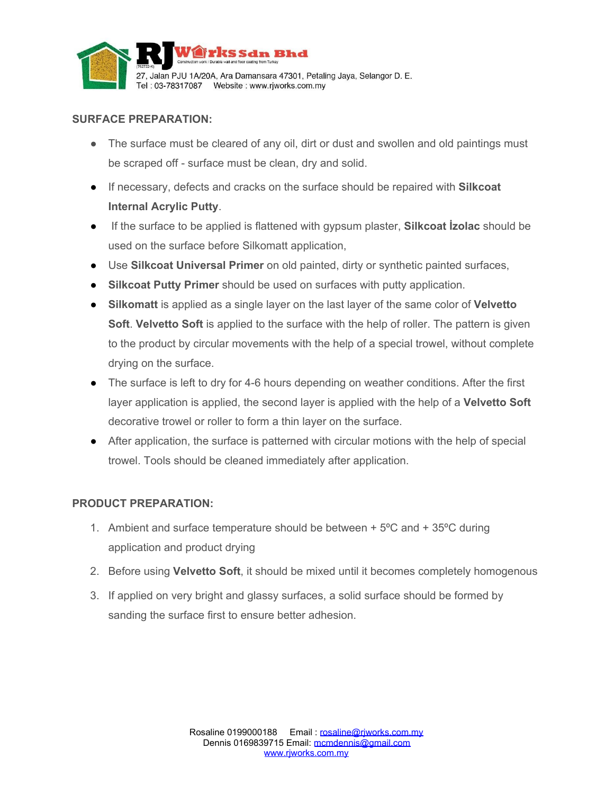

# **SURFACE PREPARATION:**

- The surface must be cleared of any oil, dirt or dust and swollen and old paintings must be scraped off - surface must be clean, dry and solid.
- If necessary, defects and cracks on the surface should be repaired with **Silkcoat Internal Acrylic Putty**.
- If the surface to be applied is flattened with gypsum plaster, **Silkcoat İzolac** should be used on the surface before Silkomatt application,
- Use **Silkcoat Universal Primer** on old painted, dirty or synthetic painted surfaces,
- **Silkcoat Putty Primer** should be used on surfaces with putty application.
- **Silkomatt** is applied as a single layer on the last layer of the same color of **Velvetto Soft**. **Velvetto Soft** is applied to the surface with the help of roller. The pattern is given to the product by circular movements with the help of a special trowel, without complete drying on the surface.
- The surface is left to dry for 4-6 hours depending on weather conditions. After the first layer application is applied, the second layer is applied with the help of a **Velvetto Soft** decorative trowel or roller to form a thin layer on the surface.
- After application, the surface is patterned with circular motions with the help of special trowel. Tools should be cleaned immediately after application.

# **PRODUCT PREPARATION:**

- 1. Ambient and surface temperature should be between  $+5^{\circ}$ C and  $+35^{\circ}$ C during application and product drying
- 2. Before using **Velvetto Soft**, it should be mixed until it becomes completely homogenous
- 3. If applied on very bright and glassy surfaces, a solid surface should be formed by sanding the surface first to ensure better adhesion.